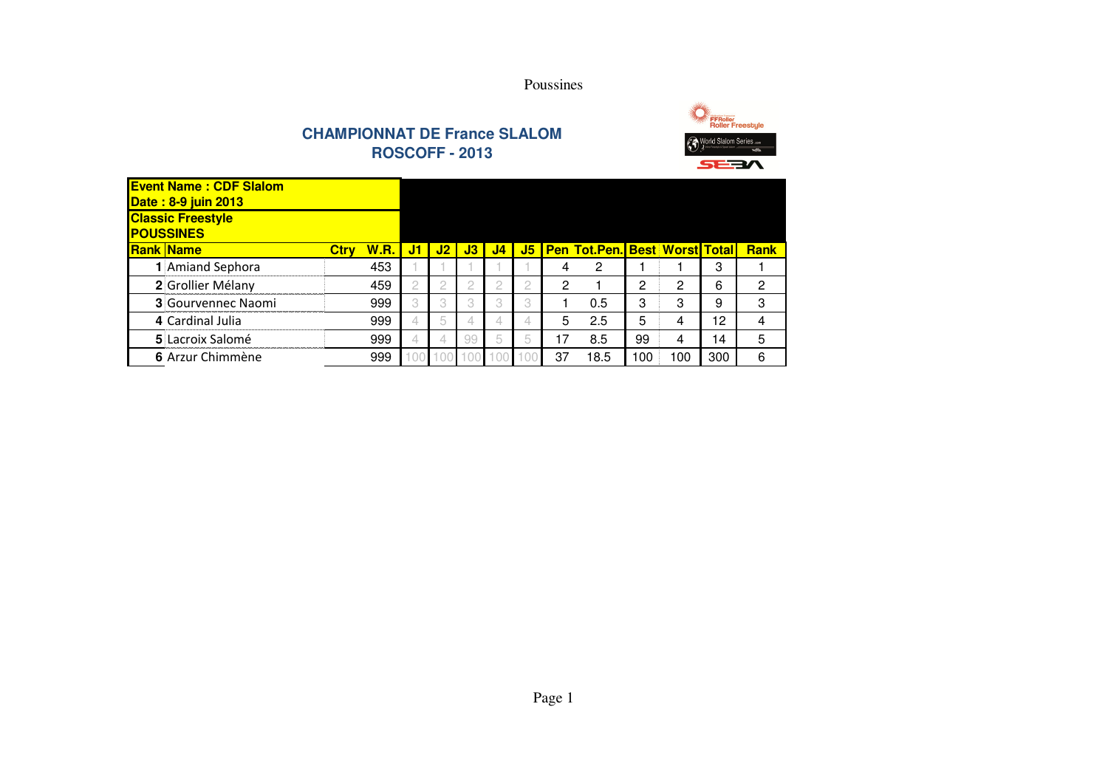



| <b>Event Name: CDF Slalom</b><br><b>Date: 8-9 juin 2013</b> |             |             |    |    |    |                |   |    |                                           |     |     |     |             |
|-------------------------------------------------------------|-------------|-------------|----|----|----|----------------|---|----|-------------------------------------------|-----|-----|-----|-------------|
| <b>Classic Freestyle</b><br><b>POUSSINES</b>                |             |             |    |    |    |                |   |    |                                           |     |     |     |             |
| <b>Rank Name</b>                                            | <b>Ctrv</b> | <b>W.R.</b> | J1 | J2 | J3 | J <sub>4</sub> |   |    | <b>J5   Pen Tot.Pen. Best Worst Total</b> |     |     |     | <b>Rank</b> |
| Amiand Sephora                                              |             | 453         |    |    |    |                |   |    | 2                                         |     |     | 3   |             |
| 2 Grollier Mélany                                           |             | 459         |    | ◠  |    |                |   | 2  |                                           | ◠   | 2   | 6   | 2           |
| <b>3</b> Gourvennec Naomi                                   |             | 999         |    | 3  |    |                |   |    | 0.5                                       | З   | 3   | 9   | 3           |
| 4 Cardinal Julia                                            |             | 999         |    | 5  |    | 4              | 4 | 5  | 2.5                                       | 5   | 4   | 12  | 4           |
| 5 Lacroix Salomé                                            |             | 999         |    | 4  | 99 | 5              | 仄 | 17 | 8.5                                       | 99  | 4   | 14  | 5           |
| 6 Arzur Chimmène                                            |             | 999         |    | O( |    | $\mathcal{L}$  |   | 37 | 18.5                                      | 100 | 100 | 300 | 6           |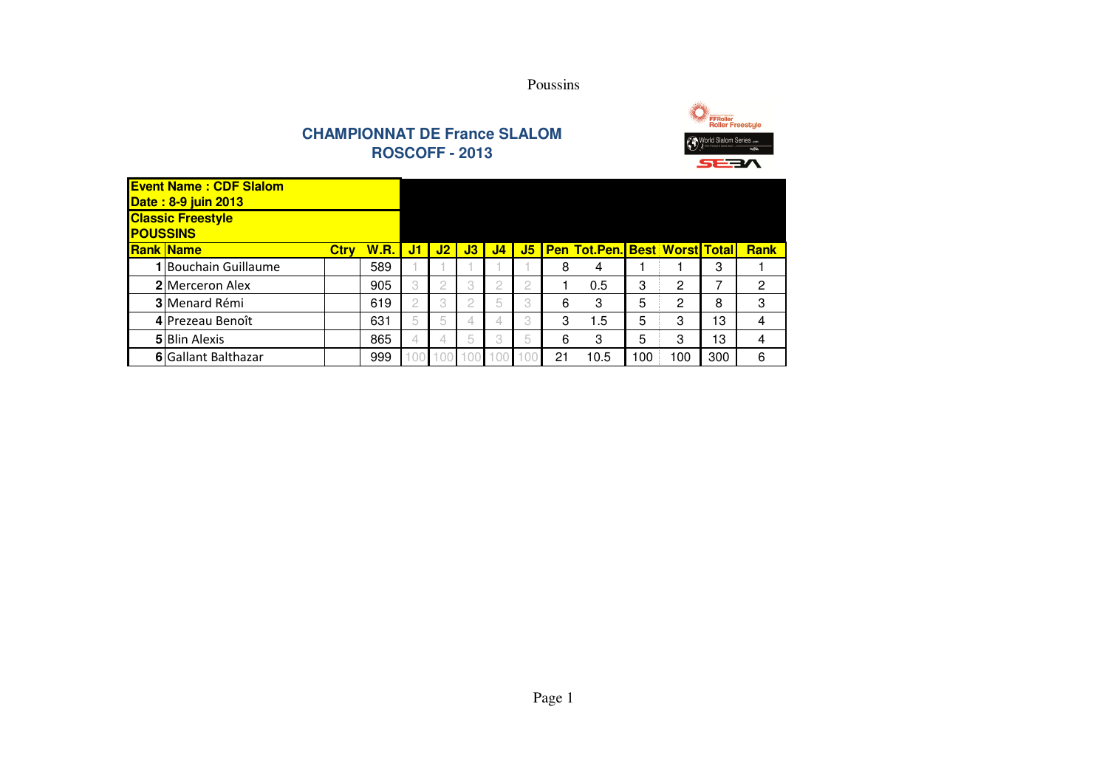



|                 | <b>Event Name: CDF Slalom</b><br><b>Date: 8-9 juin 2013</b> |             |             |    |          |    |                |   |    |                                  |     |     |     |             |
|-----------------|-------------------------------------------------------------|-------------|-------------|----|----------|----|----------------|---|----|----------------------------------|-----|-----|-----|-------------|
| <b>POUSSINS</b> | <b>Classic Freestyle</b>                                    |             |             |    |          |    |                |   |    |                                  |     |     |     |             |
|                 | <b>Rank Name</b>                                            | <b>Ctrv</b> | <b>W.R.</b> | J1 | J2       | J3 | J <sub>4</sub> |   |    | J5 Pen Tot.Pen. Best Worst Total |     |     |     | <b>Rank</b> |
|                 | 1 Bouchain Guillaume                                        |             | 589         |    |          |    |                |   | 8  | 4                                |     |     | 3   |             |
|                 | <b>2</b> Merceron Alex                                      |             | 905         |    | 2        |    |                |   |    | 0.5                              | З   | 2   | 7   | 2           |
|                 | 3 Menard Rémi                                               |             | 619         |    | 3        |    | 5              |   | 6  | 3                                | 5   | 2   | 8   | 3           |
|                 | 4 Prezeau Benoît                                            |             | 631         | 5  | 5        | 4  | 4              | 3 | 3  | 1.5                              | 5   | 3   | 13  | 4           |
|                 | <b>5</b> Blin Alexis                                        |             | 865         |    | 4        | 5  | 3              | 5 | 6  | 3                                | 5   | 3   | 13  | 4           |
|                 | 6 Gallant Balthazar                                         |             | 999         | 00 | $\Omega$ |    | $\Omega$       |   | 21 | 10.5                             | 100 | 100 | 300 | 6           |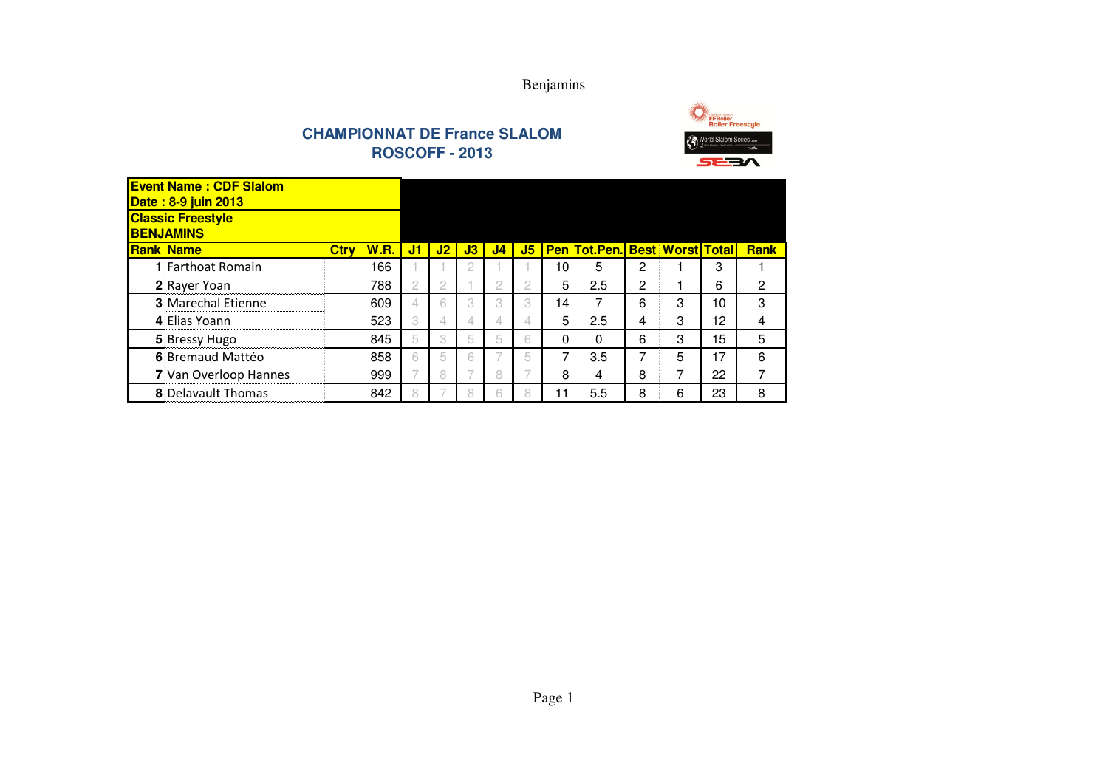



FFRoller<br>Roller Freestyle SEEN

| <b>Event Name: CDF Slalom</b><br><b>Date: 8-9 juin 2013</b> |             |             |    |    |    |                |    |    |                                      |   |   |    |             |
|-------------------------------------------------------------|-------------|-------------|----|----|----|----------------|----|----|--------------------------------------|---|---|----|-------------|
| <b>Classic Freestyle</b><br><b>BENJAMINS</b>                |             |             |    |    |    |                |    |    |                                      |   |   |    |             |
| <b>Rank Name</b>                                            | <b>Ctrv</b> | <b>W.R.</b> | J1 | J2 | J3 | J <sub>4</sub> | J5 |    | <b>Pen Tot.Pen. Best Worst Total</b> |   |   |    | <b>Rank</b> |
| <b>1</b> Farthoat Romain                                    |             | 166         |    |    |    |                |    | 10 | 5                                    | 2 |   | 3  |             |
| 2 Rayer Yoan                                                |             | 788         |    | 2  |    | 2              |    | 5  | 2.5                                  | 2 |   | 6  | 2           |
| <b>3</b> Marechal Etienne                                   |             | 609         | 4  | 6  | 3  | 3              | 3  | 14 | 7                                    | 6 | 3 | 10 | 3           |
| 4 Elias Yoann                                               |             | 523         | 3  | 4  | 4  | 4              | 4  | 5  | 2.5                                  | 4 | 3 | 12 | 4           |
| 5 Bressy Hugo                                               |             | 845         | 5  | 3  | 5  | 5              | 6  | 0  | $\Omega$                             | 6 | З | 15 | 5           |
| 6 Bremaud Mattéo                                            |             | 858         | 6  | 5  | 6  |                | 5  | 7  | 3.5                                  |   | 5 | 17 | 6           |
| 7 Van Overloop Hannes                                       |             | 999         |    | 8  |    | 8              |    | 8  | 4                                    | 8 | 7 | 22 | ⇁           |
| <b>8</b> Delavault Thomas                                   |             | 842         |    |    |    | 6              |    |    | 5.5                                  | 8 | 6 | 23 | 8           |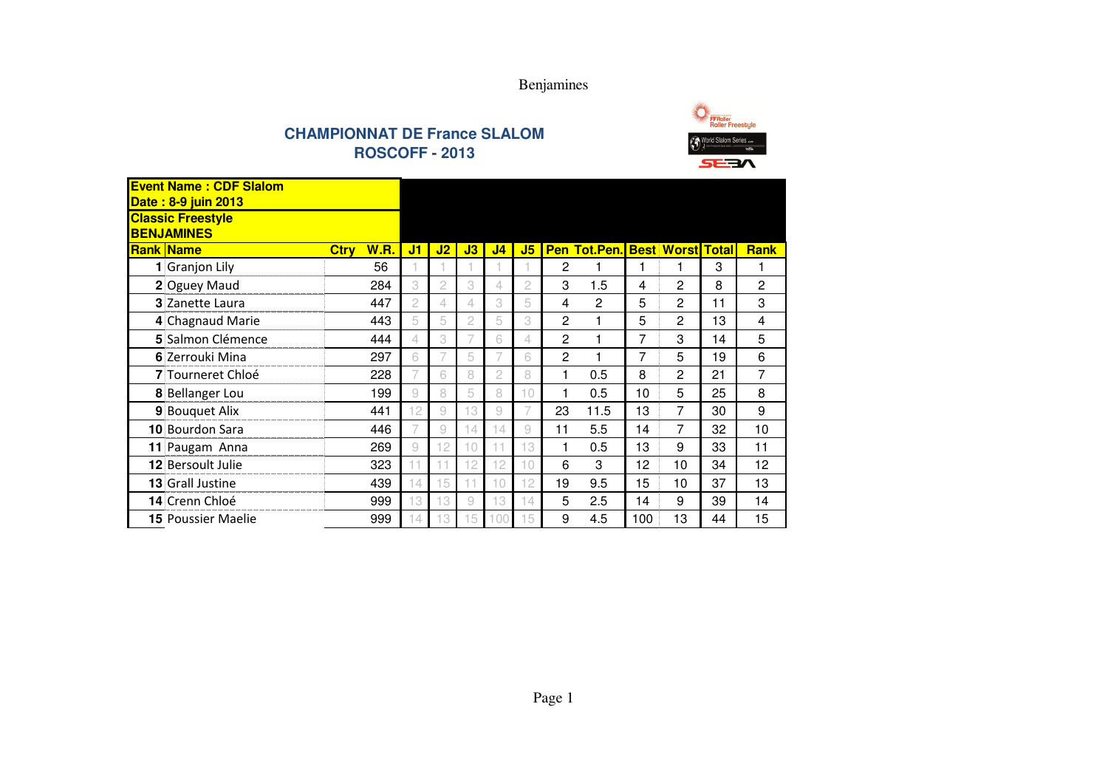Benjamines





#### Ctry W.R. J1 J2 J3 J4 J5 Pen Tot.Pen. Best Worst Total Rank **1** Granjon Lily Granjon Lily <sup>56</sup> <sup>1</sup> <sup>1</sup> <sup>1</sup> <sup>1</sup> <sup>1</sup> <sup>2</sup> <sup>1</sup> <sup>1</sup> <sup>1</sup> <sup>3</sup> <sup>1</sup> **2** Oguey Maudd 284 3 2 3 4 2 3 1.5 4 2 8 2 **3** Zanette Laura **447 2 4 4 3 5 4 2 5 2 11 3 4** Chagnaud Marie **443 5 5 2 5 3 2 1 5 2 13 4 5** Salmon Clémence <sup>444</sup>**4 4 3 7 6 4 2 1 7 3 14 5 6** Zerrouki Mina **6** Zerrouki Mina 297 6 7 5 7 6 2 1 7 5 19 6 **7** Tourneret Chloé 228 7 6 8 2 8 1 0.5 8 2 21 7 **8** Bellanger Lou<u>**u**</u> 199 9 8 5 8 10 1 0.5 10 5 25 8 **9** Bouquet Alix **9** Bouquet Alix **441 12 9 13 9 7 23 11.5 13 7 30 9 10** Bourdon Sara **10 August 11 A**46 **6** 7 9 14 14 9 **11 5.5 14 7 32 10 11** Paugam Anna **269 9 12 10 11 13 1 1 0.5 13 9 33 11 12** Bersoult Julie 2 Bersoult Julie 2 2 323 11 11 12 12 10 6 3 12 10 34 12 **13** Grall Justine **3** Grall Justine **439 14 15 11 10 12 19 9.5 15 10 37 13 14** Crenn Chloé <sup>999</sup>**9 13 13 9 13 14 5 2.5 14 9 39 14 15** Poussier Maelie <sup>999</sup> <sup>14</sup> <sup>13</sup> <sup>15</sup> <sup>100</sup> <sup>15</sup> <sup>9</sup> 4.5 <sup>100</sup> <sup>13</sup> <sup>44</sup> <sup>15</sup> **Event Name : CDF SlalomDate : 8-9 juin 2013Classic FreestyleBENJAMINESRank Name**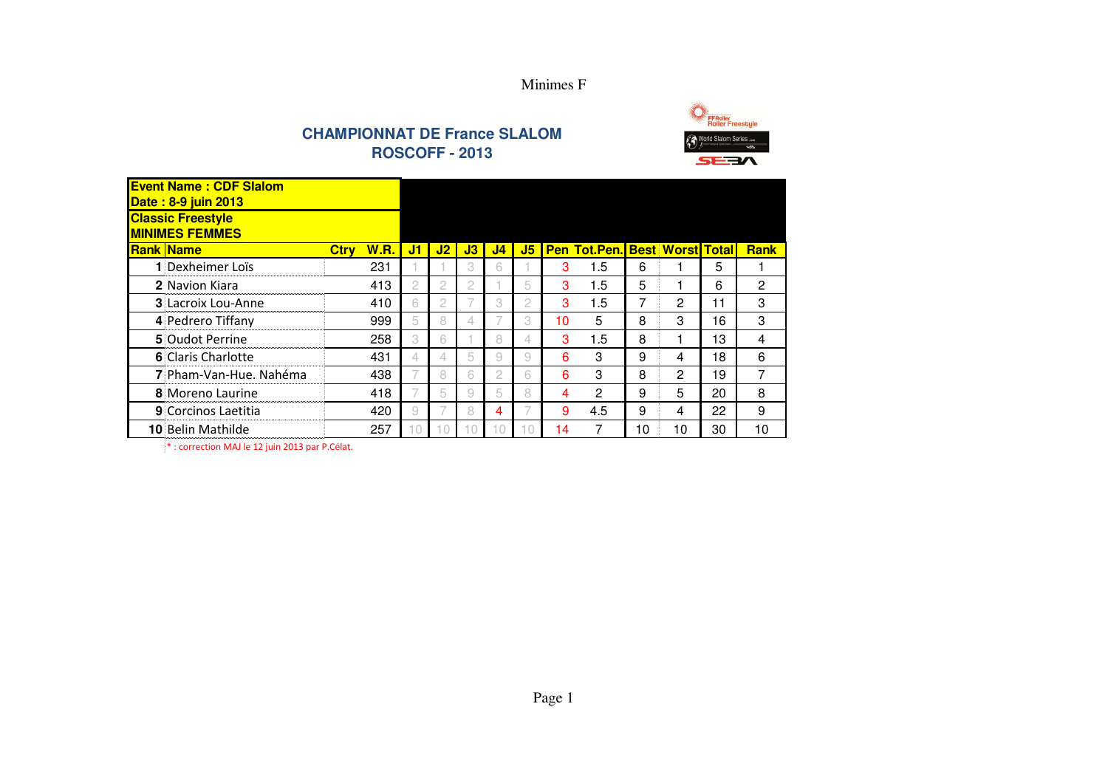





| <b>Event Name: CDF Slalom</b><br>Date: 8-9 juin 2013 |             |             |    |    |                |                |                |    |                                      |    |    |    |             |
|------------------------------------------------------|-------------|-------------|----|----|----------------|----------------|----------------|----|--------------------------------------|----|----|----|-------------|
| <b>Classic Freestyle</b><br><b>MINIMES FEMMES</b>    |             |             |    |    |                |                |                |    |                                      |    |    |    |             |
| <b>Rank Name</b>                                     | <b>Ctrv</b> | <b>W.R.</b> | J1 | J2 | J3             | J <sub>4</sub> | J5             |    | <b>Pen Tot.Pen. Best Worst Total</b> |    |    |    | <b>Rank</b> |
| 1 Dexheimer Loïs                                     |             | 231         |    |    | 3              | 6              |                | 3  | 1.5                                  | 6  |    | 5  |             |
| 2 Navion Kiara                                       |             | 413         | 2  | 2  | $\overline{c}$ |                | 5              | 3  | 1.5                                  | 5  |    | 6  | 2           |
| <b>3 Lacroix Lou-Anne</b>                            |             | 410         | 6  | 2  |                | 3              | $\mathfrak{2}$ | 3  | 1.5                                  | 7  | 2  | 11 | 3           |
| 4 Pedrero Tiffany                                    |             | 999         | 5  | 8  | 4              |                | 3              | 10 | 5                                    | 8  | 3  | 16 | 3           |
| 5 Oudot Perrine                                      |             | 258         | 3  | 6  |                | 8              | 4              | 3  | 1.5                                  | 8  |    | 13 | 4           |
| 6 Claris Charlotte                                   |             | 431         | 4  | 4  | 5              | 9              | 9              | 6  | 3                                    | 9  | 4  | 18 | 6           |
| 7 Pham-Van-Hue, Nahéma                               |             | 438         |    | 8  | 6              | $\overline{c}$ | 6              | 6  | 3                                    | 8  | 2  | 19 | 7           |
| 8 Moreno Laurine                                     |             | 418         |    | 5  | 9              | 5              | 8              | 4  | $\overline{2}$                       | 9  | 5  | 20 | 8           |
| 9 Corcinos Laetitia                                  |             | 420         | 9  |    | 8              | 4              |                | 9  | 4.5                                  | 9  | 4  | 22 | 9           |
| <b>10 Belin Mathilde</b>                             |             | 257         |    |    |                | 10             | 10             | 14 | 7                                    | 10 | 10 | 30 | 10          |

\* : correction MAJ le 12 juin 2013 par P.Célat.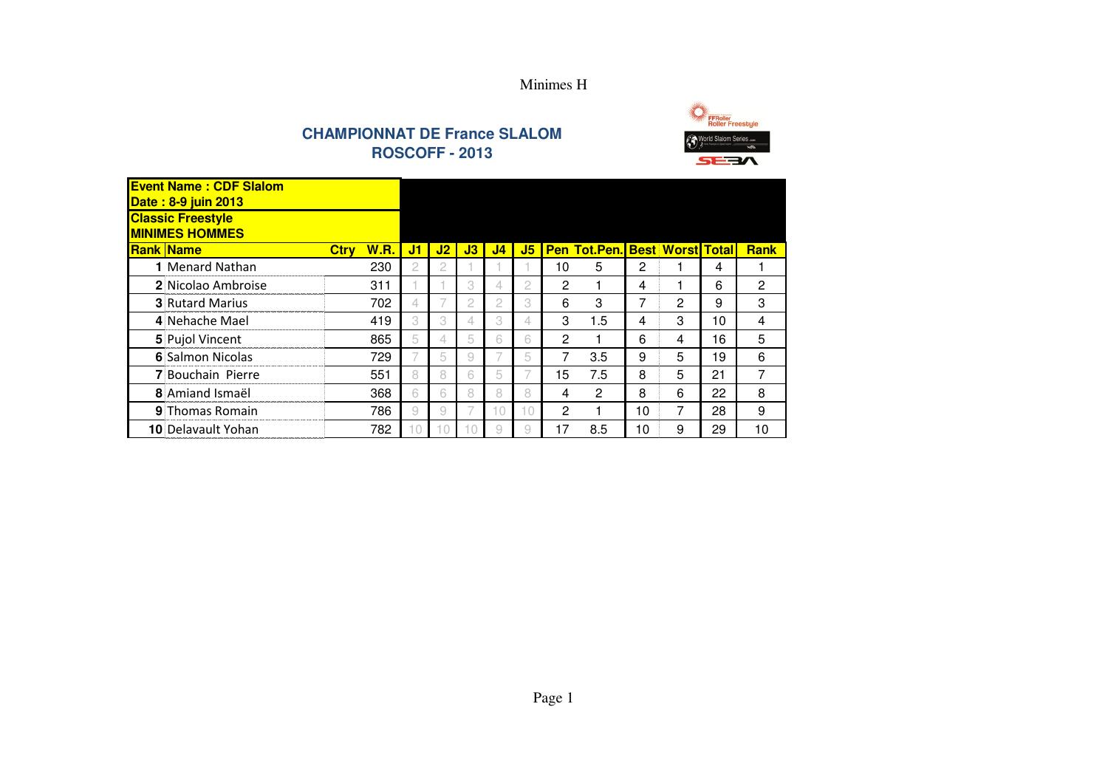



| <b>Event Name: CDF Slalom</b><br><b>Date: 8-9 juin 2013</b> |                            |                |    |    |                |    |                |                                      |    |   |    |             |
|-------------------------------------------------------------|----------------------------|----------------|----|----|----------------|----|----------------|--------------------------------------|----|---|----|-------------|
| <b>Classic Freestyle</b><br><b>MINIMES HOMMES</b>           |                            |                |    |    |                |    |                |                                      |    |   |    |             |
| <b>Rank Name</b>                                            | <b>W.R.</b><br><b>Ctrv</b> | J1             | J2 | J3 | J <sub>4</sub> | J5 |                | <b>Pen Tot.Pen. Best Worst Total</b> |    |   |    | <b>Rank</b> |
| <b>1 Menard Nathan</b>                                      | 230                        | $\mathfrak{2}$ | 2  |    |                |    | 10             | 5                                    | 2  |   | 4  |             |
| 2 Nicolao Ambroise                                          | 311                        |                |    | 3  | 4              | 2  | 2              | 1                                    | 4  |   | 6  | 2           |
| <b>3</b> Rutard Marius                                      | 702                        | 4              |    | 2  | 2              | 3  | 6              | 3                                    | 7  | 2 | 9  | 3           |
| 4 Nehache Mael                                              | 419                        | 3              | 3  | 4  | 3              | 4  | 3              | 1.5                                  | 4  | 3 | 10 | 4           |
| 5 Pujol Vincent                                             | 865                        | 5              | 4  | 5  | 6              | 6  | $\overline{2}$ | 1                                    | 6  | 4 | 16 | 5           |
| 6 Salmon Nicolas                                            | 729                        |                | 5  | 9  |                | 5  | 7              | 3.5                                  | 9  | 5 | 19 | 6           |
| 7 Bouchain Pierre                                           | 551                        | 8              | 8  | 6  | 5              |    | 15             | 7.5                                  | 8  | 5 | 21 | 7           |
| 8 Amiand Ismaël                                             | 368                        | 6              | 6  | 8  | 8              | 8  | 4              | 2                                    | 8  | 6 | 22 | 8           |
| <b>9 Thomas Romain</b>                                      | 786                        | 9              | 9  |    | 10             | 10 | 2              | 1                                    | 10 | 7 | 28 | 9           |
| <b>10 Delavault Yohan</b>                                   | 782                        | 10             | 10 |    | 9              | 9  | 17             | 8.5                                  | 10 | 9 | 29 | 10          |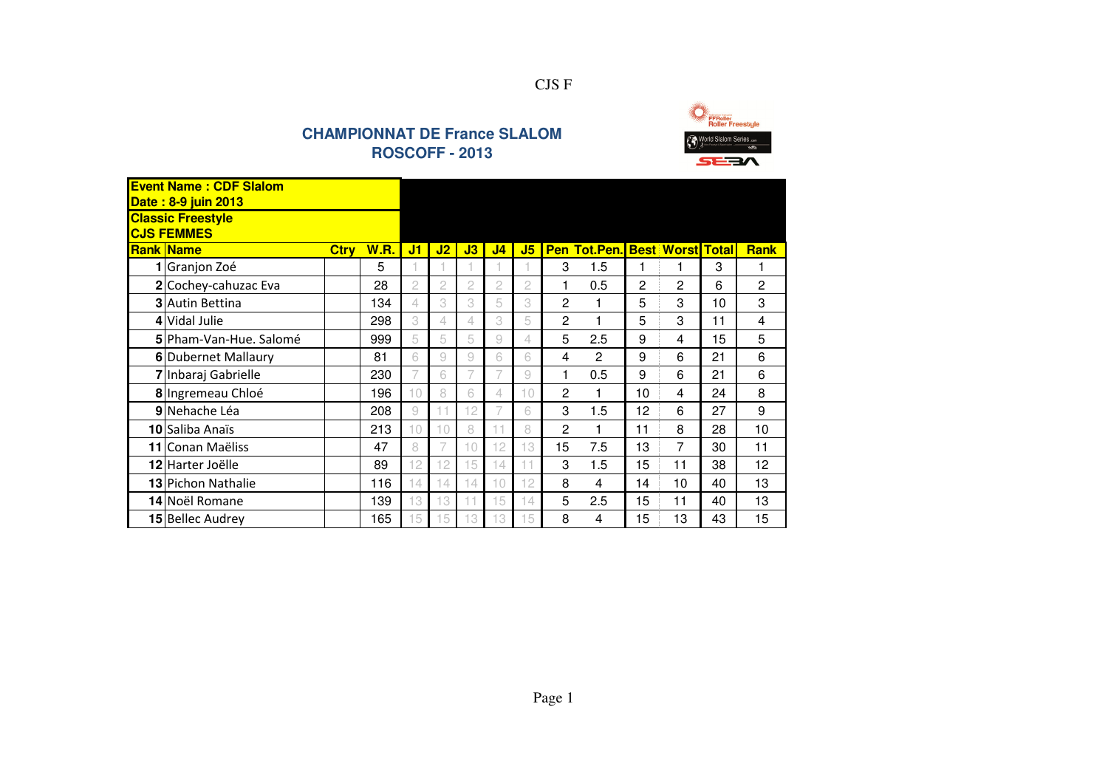

| <b>Event Name: CDF Slalom</b><br>Date: 8-9 juin 2013 |             |             |                |    |    |                |                |                |                          |    |                    |    |                |
|------------------------------------------------------|-------------|-------------|----------------|----|----|----------------|----------------|----------------|--------------------------|----|--------------------|----|----------------|
| <b>Classic Freestyle</b><br><b>CJS FEMMES</b>        |             |             |                |    |    |                |                |                |                          |    |                    |    |                |
| <b>Rank Name</b>                                     | <b>Ctry</b> | <b>W.R.</b> | J1             | J2 | J3 | J <sub>4</sub> | J5             |                | <b>Pen Tot.Pen. Best</b> |    | <b>Worst Total</b> |    | <b>Rank</b>    |
| 1 Granjon Zoé                                        |             | 5           |                |    |    |                |                | 3              | 1.5                      | 1  | 1                  | 3  |                |
| 2 Cochey-cahuzac Eva                                 |             | 28          | $\overline{c}$ | 2  | 2  | 2              | $\overline{c}$ |                | 0.5                      | 2  | $\overline{c}$     | 6  | $\overline{c}$ |
| <b>3</b> Autin Bettina                               |             | 134         | 4              | 3  | 3  | 5              | 3              | $\overline{2}$ | 1                        | 5  | 3                  | 10 | 3              |
| 4 Vidal Julie                                        |             | 298         | 3              | 4  | 4. | 3              | 5              | $\overline{2}$ |                          | 5  | 3                  | 11 | 4              |
| 5 Pham-Van-Hue, Salomé                               |             | 999         | 5              | 5  | 5  | 9              | 4              | 5              | 2.5                      | 9  | 4                  | 15 | 5              |
| 6 Dubernet Mallaury                                  |             | 81          | 6              | 9  | 9  | 6              | 6              | 4              | $\mathbf{c}$             | 9  | 6                  | 21 | 6              |
| 7 Inbaraj Gabrielle                                  |             | 230         | 7              | 6  |    | 7              | 9              | 1              | 0.5                      | 9  | 6                  | 21 | 6              |
| 8 Ingremeau Chloé                                    |             | 196         | 10             | 8  | 6  | 4              | 10             | 2              | 1                        | 10 | 4                  | 24 | 8              |
| 9 Nehache Léa                                        |             | 208         | 9              | 11 | 12 | 7              | 6              | 3              | 1.5                      | 12 | 6                  | 27 | 9              |
| 10 Saliba Anaïs                                      |             | 213         | 10             | 10 | 8  | 11             | 8              | 2              |                          | 11 | 8                  | 28 | 10             |
| 11 Conan Maëliss                                     |             | 47          | 8              |    | 10 | 12             | 13             | 15             | 7.5                      | 13 | 7                  | 30 | 11             |
| 12 Harter Joëlle                                     |             | 89          | 12             | 12 | 15 | 14             | 11             | 3              | 1.5                      | 15 | 11                 | 38 | 12             |
| <b>13</b> Pichon Nathalie                            |             | 116         | 14             | 14 | 14 | 10             | 12             | 8              | 4                        | 14 | 10                 | 40 | 13             |
| 14 Noël Romane                                       |             | 139         | 13             | 13 | 11 | 15             | 14             | 5              | 2.5                      | 15 | 11                 | 40 | 13             |
| 15 Bellec Audrey                                     |             | 165         | 15             | 15 | 13 | 13             | 15             | 8              | 4                        | 15 | 13                 | 43 | 15             |